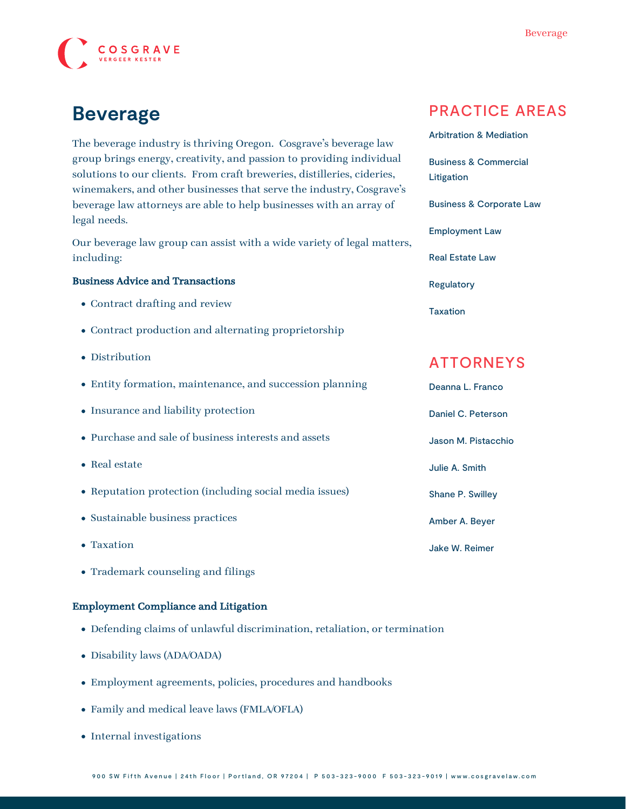

# **Beverage**

The beverage industry is thriving Oregon. Cosgrave's beverage law group brings energy, creativity, and passion to providing individual solutions to our clients. From craft breweries, distilleries, cideries, winemakers, and other businesses that serve the industry, Cosgrave's beverage law attorneys are able to help businesses with an array of legal needs.

Our beverage law group can assist with a wide variety of legal matters, including:

#### Business Advice and Transactions

- Contract drafting and review
- Contract production and alternating proprietorship
- Distribution
- Entity formation, maintenance, and succession planning
- Insurance and liability protection
- Purchase and sale of business interests and assets
- Real estate
- Reputation protection (including social media issues)
- Sustainable business practices
- Taxation
- Trademark counseling and filings

#### Employment Compliance and Litigation

- Defending claims of unlawful discrimination, retaliation, or termination
- Disability laws (ADA/OADA)
- Employment agreements, policies, procedures and handbooks
- Family and medical leave laws (FMLA/OFLA)
- Internal investigations

## PRACTICE AREAS

| <b>Arbitration &amp; Mediation</b>             |
|------------------------------------------------|
| <b>Business &amp; Commercial</b><br>Litigation |
| Business & Corporate Law                       |
| Employment Law                                 |
| Real Estate Law                                |
| Regulatory                                     |
| Taxation                                       |
|                                                |

### ATTORNEYS

| Deanna L. Franco        |
|-------------------------|
| Daniel C. Peterson      |
| Jason M. Pistacchio     |
| Julie A. Smith          |
| <b>Shane P. Swilley</b> |
| Amber A. Bever          |
| Jake W. Reimer          |